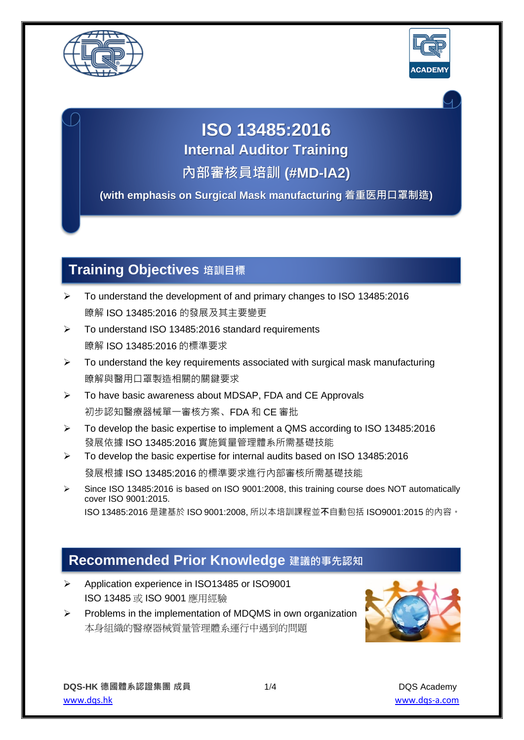



# **ISO 13485:2016**

**Internal Auditor Training**

**內部審核員培訓 (#MD-IA2)**

**(with emphasis on Surgical Mask manufacturing 着重医用口罩制造)**

## **Training Objectives 培訓目標**

- ➢ To understand the development of and primary changes to ISO 13485:2016 瞭解 ISO 13485:2016 的發展及其主要變更
- ➢ To understand ISO 13485:2016 standard requirements 瞭解 ISO 13485:2016 的標準要求
- $\triangleright$  To understand the key requirements associated with surgical mask manufacturing 瞭解與醫用口罩製造相關的關鍵要求
- ➢ To have basic awareness about MDSAP, FDA and CE Approvals 初步認知醫療器械單一審核方案、FDA 和 CE 審批
- ➢ To develop the basic expertise to implement a QMS according to ISO 13485:2016 發展依據 ISO 13485:2016 實施質量管理體系所需基礎技能
- ➢ To develop the basic expertise for internal audits based on ISO 13485:2016 發展根據 ISO 13485:2016 的標準要求進行內部審核所需基礎技能
- ➢ Since ISO 13485:2016 is based on ISO 9001:2008, this training course does NOT automatically cover ISO 9001:2015. ISO 13485:2016 是建基於 ISO 9001:2008, 所以本培訓課程並**不**自動包括 ISO9001:2015 的內容。

#### **Recommended Prior Knowledge 建議的事先認知**

- ➢ Application experience in ISO13485 or ISO9001 ISO 13485 或 ISO 9001 應用經驗
- ➢ Problems in the implementation of MDQMS in own organization 本身組織的醫療器械質量管理體系運行中遇到的問題

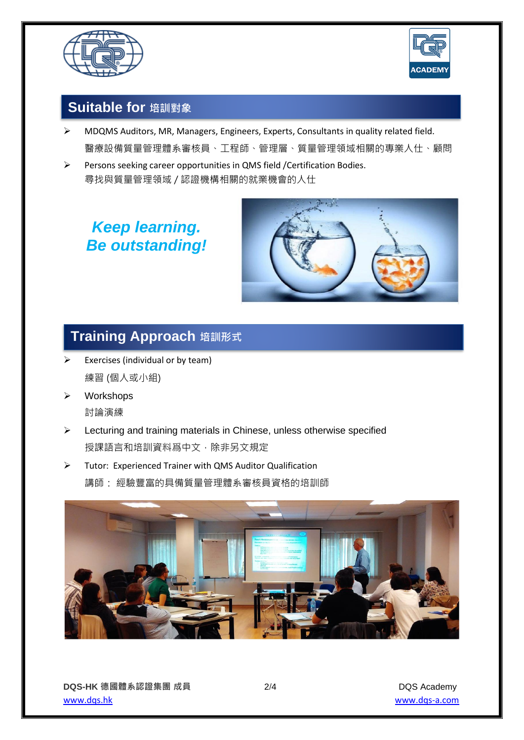



### **Suitable for 培訓對象**

- ➢ MDQMS Auditors, MR, Managers, Engineers, Experts, Consultants in quality related field. 醫療設備質量管理體系審核員、工程師、管理層、質量管理領域相關的專業人仕、顧問
- ➢ Persons seeking career opportunities in QMS field /Certification Bodies. 尋找與質量管理領域 / 認證機構相關的就業機會的人仕

## *Keep learning. Be outstanding!*



## <mark>| Training Approach</mark> 培訓形式

- $\triangleright$  Exercises (individual or by team) 練習 (個人或小組)
- ➢ Workshops

討論演練

- ➢ Lecturing and training materials in Chinese, unless otherwise specified 授課語言和培訓資料爲中文,除非另文規定
- ➢ Tutor: Experienced Trainer with QMS Auditor Qualification 講師: 經驗豐富的具備質量管理體系審核員資格的培訓師

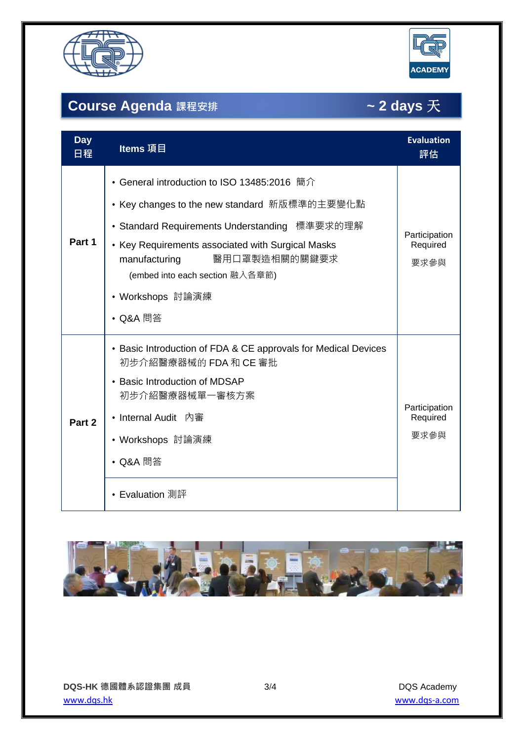



## **Course Agenda 課程安排 ~ 2 days** 天

| <b>Day</b><br>日程 | Items 項目                                                                                                                                                                                                                                                                                               | <b>Evaluation</b><br>評估           |
|------------------|--------------------------------------------------------------------------------------------------------------------------------------------------------------------------------------------------------------------------------------------------------------------------------------------------------|-----------------------------------|
| Part 1           | • General introduction to ISO 13485:2016 簡介<br>• Key changes to the new standard 新版標準的主要變化點<br>• Standard Requirements Understanding 標準要求的理解<br>• Key Requirements associated with Surgical Masks<br>醫用口罩製造相關的關鍵要求<br>manufacturing<br>(embed into each section 融入各章節)<br>• Workshops 討論演練<br>• Q&A 問答 | Participation<br>Required<br>要求參與 |
| Part 2           | • Basic Introduction of FDA & CE approvals for Medical Devices<br>初步介紹醫療器械的 FDA 和 CE 審批<br>• Basic Introduction of MDSAP<br>初步介紹醫療器械單一審核方案<br>• Internal Audit 內審<br>• Workshops 討論演練<br>• Q&A 問答<br>• Evaluation 測評                                                                                   | Participation<br>Required<br>要求參與 |